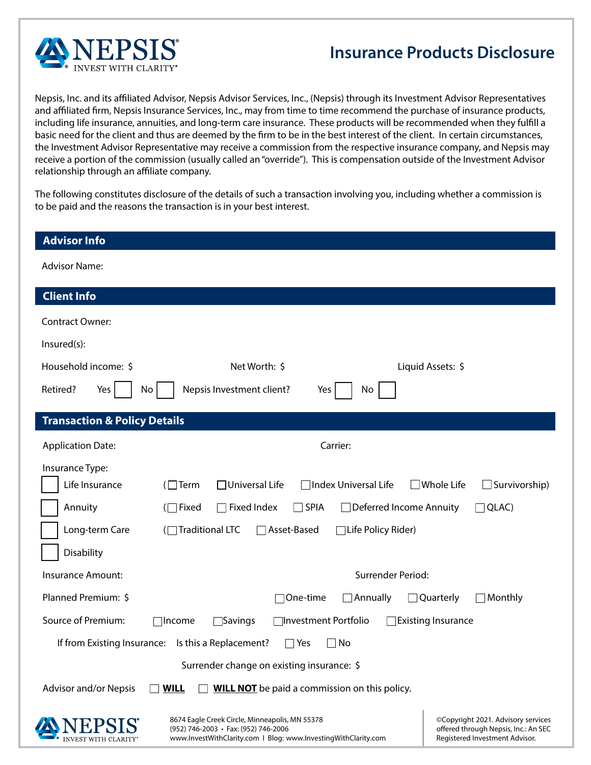

## **Insurance Products Disclosure**

Nepsis, Inc. and its affiliated Advisor, Nepsis Advisor Services, Inc., (Nepsis) through its Investment Advisor Representatives and affiliated firm, Nepsis Insurance Services, Inc., may from time to time recommend the purchase of insurance products, including life insurance, annuities, and long-term care insurance. These products will be recommended when they fulfill a basic need for the client and thus are deemed by the firm to be in the best interest of the client. In certain circumstances, the Investment Advisor Representative may receive a commission from the respective insurance company, and Nepsis may receive a portion of the commission (usually called an "override"). This is compensation outside of the Investment Advisor relationship through an affiliate company.

The following constitutes disclosure of the details of such a transaction involving you, including whether a commission is to be paid and the reasons the transaction is in your best interest.

| <b>Advisor Info</b>                                                                                                                                      |                                                                                                              |  |  |  |
|----------------------------------------------------------------------------------------------------------------------------------------------------------|--------------------------------------------------------------------------------------------------------------|--|--|--|
| <b>Advisor Name:</b>                                                                                                                                     |                                                                                                              |  |  |  |
| <b>Client Info</b>                                                                                                                                       |                                                                                                              |  |  |  |
| <b>Contract Owner:</b>                                                                                                                                   |                                                                                                              |  |  |  |
| Insured(s):                                                                                                                                              |                                                                                                              |  |  |  |
| Household income: \$<br>Net Worth: \$                                                                                                                    | Liquid Assets: \$                                                                                            |  |  |  |
| Yes<br>Nepsis Investment client?<br>Retired?<br>No <sub>1</sub><br>No<br>Yes                                                                             |                                                                                                              |  |  |  |
| <b>Transaction &amp; Policy Details</b>                                                                                                                  |                                                                                                              |  |  |  |
| Carrier:<br><b>Application Date:</b>                                                                                                                     |                                                                                                              |  |  |  |
| Insurance Type:<br>Life Insurance<br>$(\Box$ Term<br>$\Box$ Universal Life<br>]Index Universal Life                                                      | $\sqrt{ }$ Whole Life<br>Survivorship)                                                                       |  |  |  |
| Annuity<br>$\Box$ Fixed Index<br>$\Box$ SPIA<br>□ Deferred Income Annuity<br>$(\Box$ Fixed                                                               | $\Box$ QLAC)                                                                                                 |  |  |  |
| Long-term Care<br>(□Traditional LTC<br>□ Asset-Based<br>$\Box$ Life Policy Rider)                                                                        |                                                                                                              |  |  |  |
| Disability                                                                                                                                               |                                                                                                              |  |  |  |
| <b>Insurance Amount:</b>                                                                                                                                 | Surrender Period:                                                                                            |  |  |  |
| Planned Premium: \$<br>One-time<br>$\Box$ Annually<br>$\perp$                                                                                            | Quarterly<br>Monthly                                                                                         |  |  |  |
| Source of Premium:<br>$\Box$ Savings<br>∏Investment Portfolio<br>⊺lncome                                                                                 | $\Box$ Existing Insurance                                                                                    |  |  |  |
| If from Existing Insurance:<br>Is this a Replacement?<br>No<br>Yes                                                                                       |                                                                                                              |  |  |  |
| Surrender change on existing insurance: \$                                                                                                               |                                                                                                              |  |  |  |
| Advisor and/or Nepsis<br><b>WILL NOT</b> be paid a commission on this policy.<br><b>WILL</b>                                                             |                                                                                                              |  |  |  |
| 8674 Eagle Creek Circle, Minneapolis, MN 55378<br>(952) 746-2003 · Fax: (952) 746-2006<br>www.InvestWithClarity.com   Blog: www.InvestingWithClarity.com | ©Copyright 2021. Advisory services<br>offered through Nepsis, Inc.: An SEC<br>Registered Investment Advisor. |  |  |  |